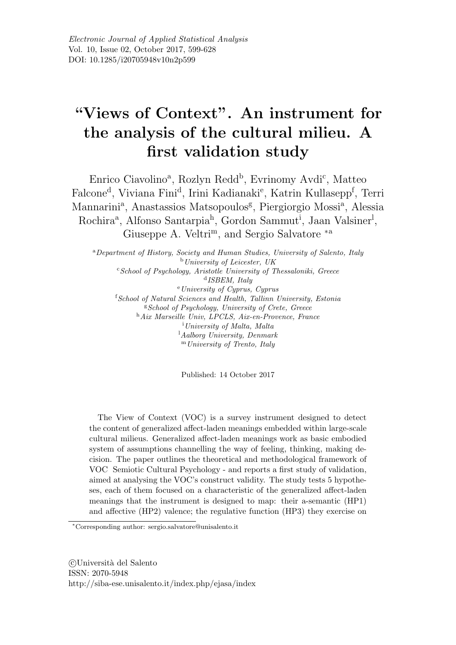# "Views of Context". An instrument for the analysis of the cultural milieu. A first validation study

Enrico Ciavolino<sup>a</sup>, Rozlyn Redd<sup>b</sup>, Evrinomy Avdi<sup>c</sup>, Matteo Falcone<sup>d</sup>, Viviana Fini<sup>d</sup>, Irini Kadianaki<sup>e</sup>, Katrin Kullasepp<sup>f</sup>, Terri Mannarini<sup>a</sup>, Anastassios Matsopoulos<sup>g</sup>, Piergiorgio Mossi<sup>a</sup>, Alessia Rochira<sup>a</sup>, Alfonso Santarpia<sup>h</sup>, Gordon Sammut<sup>i</sup>, Jaan Valsiner<sup>1</sup>, Giuseppe A. Veltri<sup>m</sup>, and Sergio Salvatore<sup>\*a</sup>

<sup>a</sup> Department of History, Society and Human Studies, University of Salento, Italy  $b$  University of Leicester, UK "School of Psychology, Aristotle University of Thessaloniki, Greece  $d$  ISBEM, Italy  $e$  University of Cyprus, Cyprus <sup>f</sup>School of Natural Sciences and Health, Tallinn University, Estonia <sup>g</sup>School of Psychology, University of Crete, Greece <sup>h</sup>Aix Marseille Univ, LPCLS, Aix-en-Provence, France  $i$ University of Malta, Malta <sup>1</sup>Aalborg University, Denmark  $<sup>m</sup> University of Trento, Italy$ </sup>

Published: 14 October 2017

The View of Context (VOC) is a survey instrument designed to detect the content of generalized affect-laden meanings embedded within large-scale cultural milieus. Generalized affect-laden meanings work as basic embodied system of assumptions channelling the way of feeling, thinking, making decision. The paper outlines the theoretical and methodological framework of VOC Semiotic Cultural Psychology - and reports a first study of validation, aimed at analysing the VOC's construct validity. The study tests 5 hypotheses, each of them focused on a characteristic of the generalized affect-laden meanings that the instrument is designed to map: their a-semantic (HP1) and affective (HP2) valence; the regulative function (HP3) they exercise on

CUniversità del Salento ISSN: 2070-5948 http://siba-ese.unisalento.it/index.php/ejasa/index

<sup>\*</sup>Corresponding author: sergio.salvatore@unisalento.it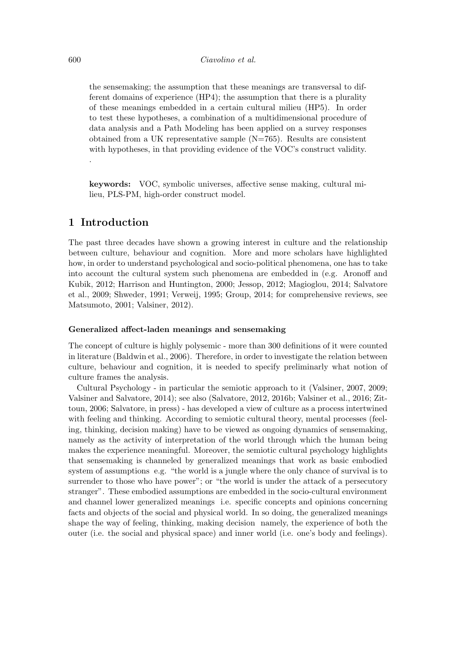the sensemaking; the assumption that these meanings are transversal to different domains of experience (HP4); the assumption that there is a plurality of these meanings embedded in a certain cultural milieu (HP5). In order to test these hypotheses, a combination of a multidimensional procedure of data analysis and a Path Modeling has been applied on a survey responses obtained from a UK representative sample  $(N=765)$ . Results are consistent with hypotheses, in that providing evidence of the VOC's construct validity.

**keywords:** VOC, symbolic universes, affective sense making, cultural milieu, PLS-PM, high-order construct model.

## 1 Introduction

The past three decades have shown a growing interest in culture and the relationship between culture, behaviour and cognition. More and more scholars have highlighted how, in order to understand psychological and socio-political phenomena, one has to take into account the cultural system such phenomena are embedded in (e.g. Aronoff and Kubik, 2012; Harrison and Huntington, 2000; Jessop, 2012; Magioglou, 2014; Salvatore et al., 2009; Shweder, 1991; Verweij, 1995; Group, 2014; for comprehensive reviews, see Matsumoto, 2001; Valsiner, 2012).

#### Generalized affect-laden meanings and sensemaking

The concept of culture is highly polysemic - more than 300 definitions of it were counted in literature (Baldwin et al., 2006). Therefore, in order to investigate the relation between culture, behaviour and cognition, it is needed to specify preliminarly what notion of culture frames the analysis.

Cultural Psychology - in particular the semiotic approach to it (Valsiner, 2007, 2009; Valsiner and Salvatore, 2014); see also (Salvatore, 2012, 2016b; Valsiner et al., 2016; Zittoun, 2006; Salvatore, in press) - has developed a view of culture as a process intertwined with feeling and thinking. According to semiotic cultural theory, mental processes (feeling, thinking, decision making) have to be viewed as ongoing dynamics of sensemaking, namely as the activity of interpretation of the world through which the human being makes the experience meaningful. Moreover, the semiotic cultural psychology highlights that sensemaking is channeled by generalized meanings that work as basic embodied system of assumptions e.g. "the world is a jungle where the only chance of survival is to surrender to those who have power"; or "the world is under the attack of a persecutory stranger". These embodied assumptions are embedded in the socio-cultural environment and channel lower generalized meanings i.e. specific concepts and opinions concerning facts and objects of the social and physical world. In so doing, the generalized meanings shape the way of feeling, thinking, making decision namely, the experience of both the outer (i.e. the social and physical space) and inner world (i.e. one's body and feelings).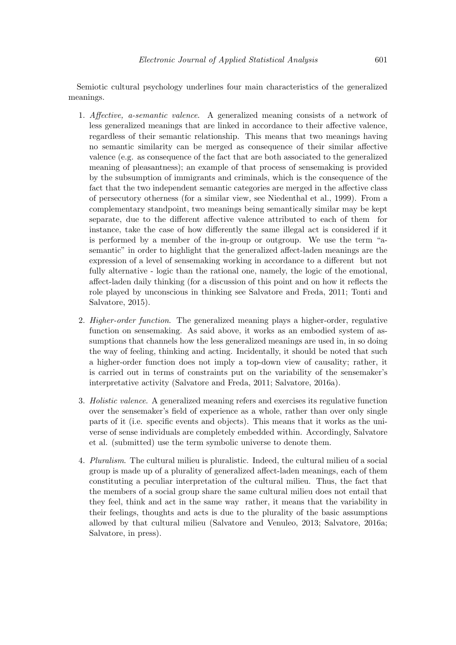Semiotic cultural psychology underlines four main characteristics of the generalized meanings.

- 1. Affective, a-semantic valence. A generalized meaning consists of a network of less generalized meanings that are linked in accordance to their affective valence, regardless of their semantic relationship. This means that two meanings having no semantic similarity can be merged as consequence of their similar affective valence (e.g. as consequence of the fact that are both associated to the generalized meaning of pleasantness); an example of that process of sensemaking is provided by the subsumption of immigrants and criminals, which is the consequence of the fact that the two independent semantic categories are merged in the affective class of persecutory otherness (for a similar view, see Niedenthal et al., 1999). From a complementary standpoint, two meanings being semantically similar may be kept separate, due to the different affective valence attributed to each of them for instance, take the case of how differently the same illegal act is considered if it is performed by a member of the in-group or outgroup. We use the term "asemantic" in order to highlight that the generalized affect-laden meanings are the expression of a level of sensemaking working in accordance to a different but not fully alternative - logic than the rational one, namely, the logic of the emotional, affect-laden daily thinking (for a discussion of this point and on how it reflects the role played by unconscious in thinking see Salvatore and Freda, 2011; Tonti and Salvatore, 2015).
- 2. *Higher-order function*. The generalized meaning plays a higher-order, regulative function on sensemaking. As said above, it works as an embodied system of assumptions that channels how the less generalized meanings are used in, in so doing the way of feeling, thinking and acting. Incidentally, it should be noted that such a higher-order function does not imply a top-down view of causality; rather, it is carried out in terms of constraints put on the variability of the sensemaker's interpretative activity (Salvatore and Freda, 2011; Salvatore, 2016a).
- 3. *Holistic valence*. A generalized meaning refers and exercises its regulative function over the sensemaker's field of experience as a whole, rather than over only single parts of it (i.e. specific events and objects). This means that it works as the universe of sense individuals are completely embedded within. Accordingly, Salvatore et al. (submitted) use the term symbolic universe to denote them.
- 4. Pluralism. The cultural milieu is pluralistic. Indeed, the cultural milieu of a social group is made up of a plurality of generalized affect-laden meanings, each of them constituting a peculiar interpretation of the cultural milieu. Thus, the fact that the members of a social group share the same cultural milieu does not entail that they feel, think and act in the same way rather, it means that the variability in their feelings, thoughts and acts is due to the plurality of the basic assumptions allowed by that cultural milieu (Salvatore and Venuleo, 2013; Salvatore, 2016a; Salvatore, in press).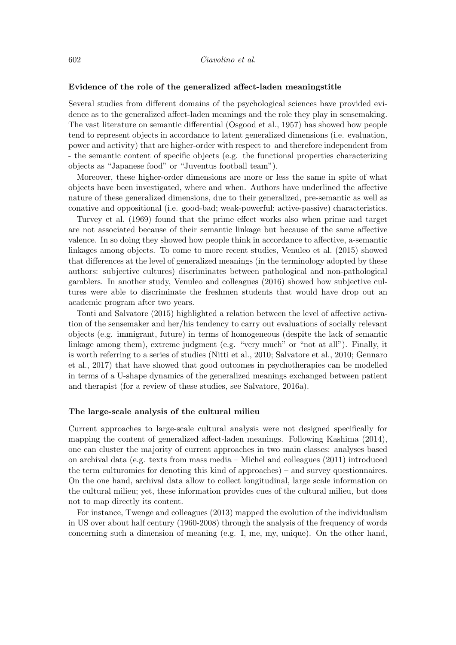#### Evidence of the role of the generalized affect-laden meaningstitle

Several studies from different domains of the psychological sciences have provided evidence as to the generalized affect-laden meanings and the role they play in sensemaking. The vast literature on semantic differential (Osgood et al., 1957) has showed how people tend to represent objects in accordance to latent generalized dimensions (i.e. evaluation, power and activity) that are higher-order with respect to and therefore independent from - the semantic content of specific objects (e.g. the functional properties characterizing objects as "Japanese food" or "Juventus football team").

Moreover, these higher-order dimensions are more or less the same in spite of what objects have been investigated, where and when. Authors have underlined the affective nature of these generalized dimensions, due to their generalized, pre-semantic as well as conative and oppositional (i.e. good-bad; weak-powerful; active-passive) characteristics.

Turvey et al. (1969) found that the prime effect works also when prime and target are not associated because of their semantic linkage but because of the same affective valence. In so doing they showed how people think in accordance to affective, a-semantic linkages among objects. To come to more recent studies, Venuleo et al. (2015) showed that differences at the level of generalized meanings (in the terminology adopted by these authors: subjective cultures) discriminates between pathological and non-pathological gamblers. In another study, Venuleo and colleagues (2016) showed how subjective cultures were able to discriminate the freshmen students that would have drop out an academic program after two years.

Tonti and Salvatore (2015) highlighted a relation between the level of affective activation of the sensemaker and her/his tendency to carry out evaluations of socially relevant objects (e.g. immigrant, future) in terms of homogeneous (despite the lack of semantic linkage among them), extreme judgment (e.g. "very much" or "not at all"). Finally, it is worth referring to a series of studies (Nitti et al., 2010; Salvatore et al., 2010; Gennaro et al., 2017) that have showed that good outcomes in psychotherapies can be modelled in terms of a U-shape dynamics of the generalized meanings exchanged between patient and therapist (for a review of these studies, see Salvatore, 2016a).

#### The large-scale analysis of the cultural milieu

Current approaches to large-scale cultural analysis were not designed specifically for mapping the content of generalized affect-laden meanings. Following Kashima (2014), one can cluster the majority of current approaches in two main classes: analyses based on archival data (e.g. texts from mass media – Michel and colleagues (2011) introduced the term culture online for denoting this kind of approaches) – and survey questionnaires. On the one hand, archival data allow to collect longitudinal, large scale information on the cultural milieu; yet, these information provides cues of the cultural milieu, but does not to map directly its content.

For instance, Twenge and colleagues (2013) mapped the evolution of the individualism in US over about half century (1960-2008) through the analysis of the frequency of words concerning such a dimension of meaning (e.g. I, me, my, unique). On the other hand,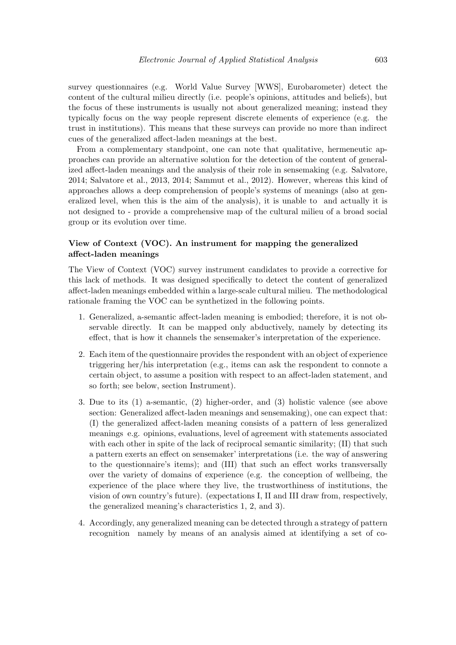survey questionnaires (e.g. World Value Survey [WWS], Eurobarometer) detect the content of the cultural milieu directly (i.e. people's opinions, attitudes and beliefs), but the focus of these instruments is usually not about generalized meaning; instead they typically focus on the way people represent discrete elements of experience (e.g. the trust in institutions). This means that these surveys can provide no more than indirect cues of the generalized affect-laden meanings at the best.

From a complementary standpoint, one can note that qualitative, hermeneutic approaches can provide an alternative solution for the detection of the content of generalized affect-laden meanings and the analysis of their role in sensemaking (e.g. Salvatore, 2014; Salvatore et al., 2013, 2014; Sammut et al., 2012). However, whereas this kind of approaches allows a deep comprehension of people's systems of meanings (also at generalized level, when this is the aim of the analysis), it is unable to and actually it is not designed to - provide a comprehensive map of the cultural milieu of a broad social group or its evolution over time.

## View of Context (VOC). An instrument for mapping the generalized affect-laden meanings

The View of Context (VOC) survey instrument candidates to provide a corrective for this lack of methods. It was designed specifically to detect the content of generalized affect-laden meanings embedded within a large-scale cultural milieu. The methodological rationale framing the VOC can be synthetized in the following points.

- 1. Generalized, a-semantic affect-laden meaning is embodied; therefore, it is not observable directly. It can be mapped only abductively, namely by detecting its effect, that is how it channels the sensemaker's interpretation of the experience.
- 2. Each item of the questionnaire provides the respondent with an object of experience triggering her/his interpretation (e.g., items can ask the respondent to connote a certain object, to assume a position with respect to an affect-laden statement, and so forth; see below, section Instrument).
- 3. Due to its  $(1)$  a-semantic,  $(2)$  higher-order, and  $(3)$  holistic valence (see above section: Generalized affect-laden meanings and sensemaking), one can expect that: (I) the generalized affect-laden meaning consists of a pattern of less generalized meanings e.g. opinions, evaluations, level of agreement with statements associated with each other in spite of the lack of reciprocal semantic similarity; (II) that such a pattern exerts an effect on sensemaker' interpretations (i.e. the way of answering to the questionnaire's items); and (III) that such an effect works transversally over the variety of domains of experience (e.g. the conception of wellbeing, the experience of the place where they live, the trustworthiness of institutions, the vision of own country's future). (expectations I, II and III draw from, respectively, the generalized meaning's characteristics 1, 2, and 3).
- 4. Accordingly, any generalized meaning can be detected through a strategy of pattern recognition namely by means of an analysis aimed at identifying a set of co-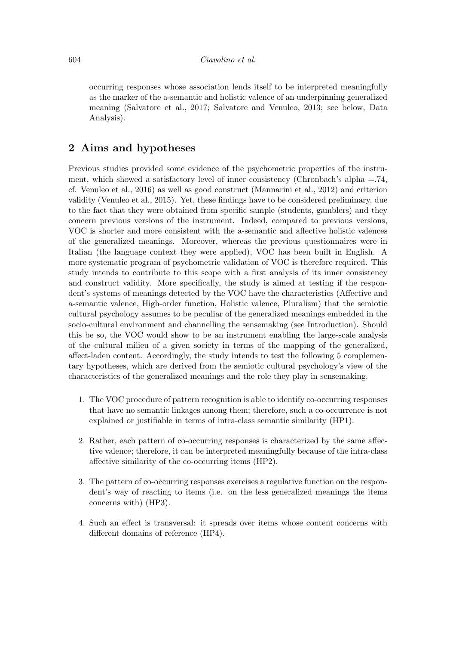occurring responses whose association lends itself to be interpreted meaningfully as the marker of the a-semantic and holistic valence of an underpinning generalized meaning (Salvatore et al., 2017; Salvatore and Venuleo, 2013; see below, Data Analysis).

# 2 Aims and hypotheses

Previous studies provided some evidence of the psychometric properties of the instrument, which showed a satisfactory level of inner consistency (Chronbach's alpha =  $.74$ , cf. Venuleo et al., 2016) as well as good construct (Mannarini et al., 2012) and criterion validity (Venuleo et al., 2015). Yet, these findings have to be considered preliminary, due to the fact that they were obtained from specific sample (students, gamblers) and they concern previous versions of the instrument. Indeed, compared to previous versions, VOC is shorter and more consistent with the a-semantic and affective holistic valences of the generalized meanings. Moreover, whereas the previous questionnaires were in Italian (the language context they were applied), VOC has been built in English. A more systematic program of psychometric validation of VOC is therefore required. This study intends to contribute to this scope with a first analysis of its inner consistency and construct validity. More specifically, the study is aimed at testing if the respondent's systems of meanings detected by the VOC have the characteristics (Affective and a-semantic valence, High-order function, Holistic valence, Pluralism) that the semiotic cultural psychology assumes to be peculiar of the generalized meanings embedded in the socio-cultural environment and channelling the sensemaking (see Introduction). Should this be so, the VOC would show to be an instrument enabling the large-scale analysis of the cultural milieu of a given society in terms of the mapping of the generalized, affect-laden content. Accordingly, the study intends to test the following 5 complementary hypotheses, which are derived from the semiotic cultural psychology's view of the characteristics of the generalized meanings and the role they play in sensemaking.

- 1. The VOC procedure of pattern recognition is able to identify co-occurring responses that have no semantic linkages among them; therefore, such a co-occurrence is not explained or justifiable in terms of intra-class semantic similarity (HP1).
- 2. Rather, each pattern of co-occurring responses is characterized by the same affective valence; therefore, it can be interpreted meaningfully because of the intra-class affective similarity of the co-occurring items (HP2).
- 3. The pattern of co-occurring responses exercises a regulative function on the respondent's way of reacting to items (i.e. on the less generalized meanings the items concerns with) (HP3).
- 4. Such an effect is transversal: it spreads over items whose content concerns with different domains of reference (HP4).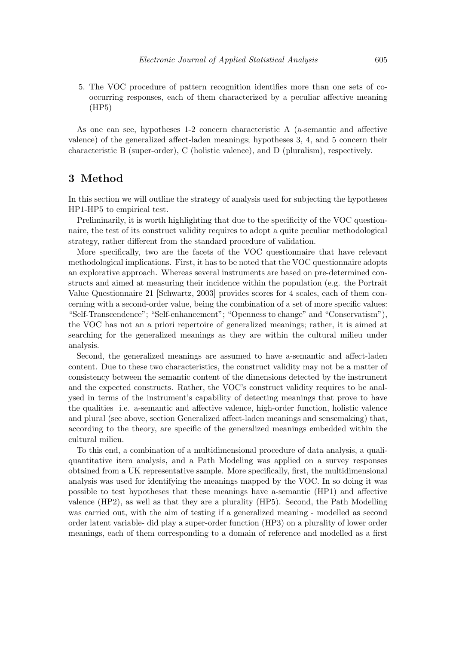5. The VOC procedure of pattern recognition identifies more than one sets of cooccurring responses, each of them characterized by a peculiar affective meaning  $(HP5)$ 

As one can see, hypotheses 1-2 concern characteristic A (a-semantic and affective valence) of the generalized affect-laden meanings; hypotheses 3, 4, and 5 concern their characteristic B (super-order), C (holistic valence), and D (pluralism), respectively.

# 3 Method

In this section we will outline the strategy of analysis used for subjecting the hypotheses HP1-HP5 to empirical test.

Preliminarily, it is worth highlighting that due to the specificity of the VOC questionnaire, the test of its construct validity requires to adopt a quite peculiar methodological strategy, rather different from the standard procedure of validation.

More specifically, two are the facets of the VOC questionnaire that have relevant methodological implications. First, it has to be noted that the VOC questionnaire adopts an explorative approach. Whereas several instruments are based on pre-determined constructs and aimed at measuring their incidence within the population (e.g. the Portrait Value Questionnaire 21 [Schwartz, 2003] provides scores for 4 scales, each of them concerning with a second-order value, being the combination of a set of more specific values: "Self-Transcendence"; "Self-enhancement"; "Openness to change" and "Conservatism"), the VOC has not an a priori repertoire of generalized meanings; rather, it is aimed at searching for the generalized meanings as they are within the cultural milieu under analysis.

Second, the generalized meanings are assumed to have a-semantic and affect-laden content. Due to these two characteristics, the construct validity may not be a matter of consistency between the semantic content of the dimensions detected by the instrument and the expected constructs. Rather, the VOC's construct validity requires to be analysed in terms of the instrument's capability of detecting meanings that prove to have the qualities i.e. a-semantic and affective valence, high-order function, holistic valence and plural (see above, section Generalized affect-laden meanings and sensemaking) that, according to the theory, are specific of the generalized meanings embedded within the cultural milieu.

To this end, a combination of a multidimensional procedure of data analysis, a qualiquantitative item analysis, and a Path Modeling was applied on a survey responses obtained from a UK representative sample. More specifically, first, the multidimensional analysis was used for identifying the meanings mapped by the VOC. In so doing it was possible to test hypotheses that these meanings have a-semantic (HP1) and affective valence (HP2), as well as that they are a plurality (HP5). Second, the Path Modelling was carried out, with the aim of testing if a generalized meaning - modelled as second order latent variable- did play a super-order function (HP3) on a plurality of lower order meanings, each of them corresponding to a domain of reference and modelled as a first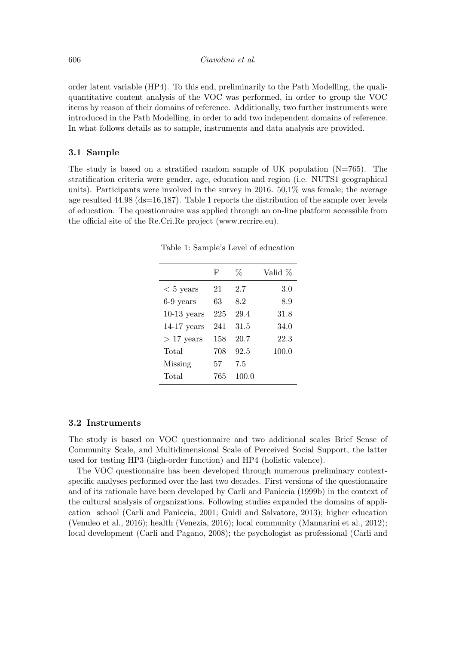order latent variable (HP4). To this end, preliminarily to the Path Modelling, the qualiquantitative content analysis of the VOC was performed, in order to group the VOC items by reason of their domains of reference. Additionally, two further instruments were introduced in the Path Modelling, in order to add two independent domains of reference. In what follows details as to sample, instruments and data analysis are provided.

#### 3.1 Sample

The study is based on a stratified random sample of UK population  $(N=765)$ . The stratification criteria were gender, age, education and region (i.e. NUTS1 geographical units). Participants were involved in the survey in 2016.  $50,1\%$  was female; the average age resulted  $44.98$  (ds=16,187). Table 1 reports the distribution of the sample over levels of education. The questionnaire was applied through an on-line platform accessible from the official site of the Re. Cri. Re project (www.recrire.eu).

|               | F   | %     | Valid % |
|---------------|-----|-------|---------|
| $< 5$ years   | 21  | 2.7   | 3.0     |
| $6-9$ years   | 63  | 8.2   | 8.9     |
| $10-13$ years | 225 | 29.4  | 31.8    |
| $14-17$ years | 241 | 31.5  | 34.0    |
| $>17$ years   | 158 | 20.7  | 22.3    |
| Total         | 708 | 92.5  | 100.0   |
| Missing       | 57  | 7.5   |         |
| Total         | 765 | 100.0 |         |
|               |     |       |         |

Table 1: Sample's Level of education

#### 3.2 Instruments

The study is based on VOC questionnaire and two additional scales Brief Sense of Community Scale, and Multidimensional Scale of Perceived Social Support, the latter used for testing HP3 (high-order function) and HP4 (holistic valence).

The VOC questionnaire has been developed through numerous preliminary contextspecific analyses performed over the last two decades. First versions of the questionnaire and of its rationale have been developed by Carli and Paniccia (1999b) in the context of the cultural analysis of organizations. Following studies expanded the domains of application school (Carli and Paniccia, 2001; Guidi and Salvatore, 2013); higher education (Venuleo et al., 2016); health (Venezia, 2016); local community (Mannarini et al., 2012); local development (Carli and Pagano, 2008); the psychologist as professional (Carli and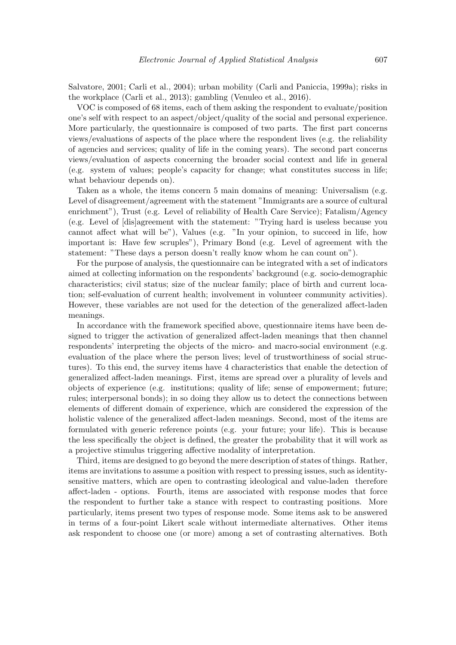Salvatore, 2001; Carli et al., 2004); urban mobility (Carli and Paniccia, 1999a); risks in the workplace (Carli et al., 2013); gambling (Venuleo et al., 2016).

VOC is composed of 68 items, each of them asking the respondent to evaluate/position one's self with respect to an aspect/object/quality of the social and personal experience. More particularly, the questionnaire is composed of two parts. The first part concerns views/evaluations of aspects of the place where the respondent lives (e.g. the reliability of agencies and services; quality of life in the coming years). The second part concerns views/evaluation of aspects concerning the broader social context and life in general (e.g. system of values; people's capacity for change; what constitutes success in life; what behaviour depends on).

Taken as a whole, the items concern 5 main domains of meaning: Universalism (e.g. Level of disagreement/agreement with the statement "Immigrants are a source of cultural enrichment"), Trust (e.g. Level of reliability of Health Care Service); Fatalism/Agency (e.g. Level of [dis]agreement with the statement: "Trying hard is useless because you cannot affect what will be"), Values (e.g. "In your opinion, to succeed in life, how important is: Have few scruples"), Primary Bond (e.g. Level of agreement with the statement: "These days a person doesn't really know whom he can count on").

For the purpose of analysis, the questionnaire can be integrated with a set of indicators aimed at collecting information on the respondents' background (e.g. socio-demographic characteristics; civil status; size of the nuclear family; place of birth and current location; self-evaluation of current health; involvement in volunteer community activities). However, these variables are not used for the detection of the generalized affect-laden meanings.

In accordance with the framework specified above, questionnaire items have been designed to trigger the activation of generalized affect-laden meanings that then channel respondents' interpreting the objects of the micro- and macro-social environment (e.g. evaluation of the place where the person lives; level of trustworthiness of social structures). To this end, the survey items have 4 characteristics that enable the detection of generalized affect-laden meanings. First, items are spread over a plurality of levels and objects of experience (e.g. institutions; quality of life; sense of empowerment; future; rules; interpersonal bonds); in so doing they allow us to detect the connections between elements of different domain of experience, which are considered the expression of the holistic valence of the generalized affect-laden meanings. Second, most of the items are formulated with generic reference points (e.g. your future; your life). This is because the less specifically the object is defined, the greater the probability that it will work as a projective stimulus triggering affective modality of interpretation.

Third, items are designed to go beyond the mere description of states of things. Rather, items are invitations to assume a position with respect to pressing issues, such as identitysensitive matters, which are open to contrasting ideological and value-laden therefore affect-laden - options. Fourth, items are associated with response modes that force the respondent to further take a stance with respect to contrasting positions. More particularly, items present two types of response mode. Some items ask to be answered in terms of a four-point Likert scale without intermediate alternatives. Other items ask respondent to choose one (or more) among a set of contrasting alternatives. Both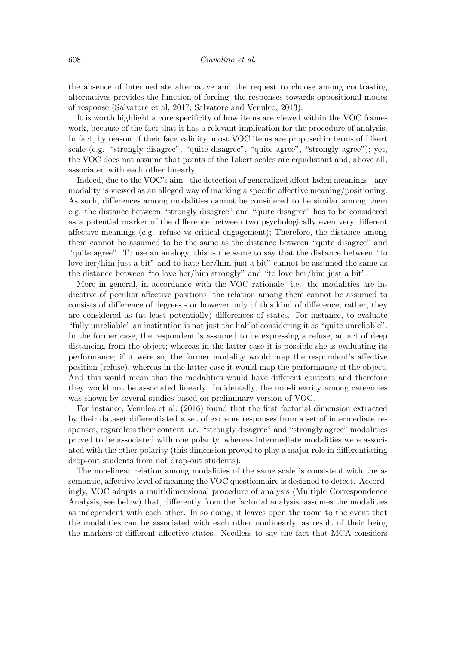the absence of intermediate alternative and the request to choose among contrasting alternatives provides the function of forcing' the responses towards oppositional modes of response (Salvatore et al, 2017; Salvatore and Venuleo, 2013).

It is worth highlight a core specificity of how items are viewed within the VOC framework, because of the fact that it has a relevant implication for the procedure of analysis. In fact, by reason of their face validity, most VOC items are proposed in terms of Likert scale (e.g. "strongly disagree", "quite disagree", "quite agree", "strongly agree"); yet, the VOC does not assume that points of the Likert scales are equidistant and, above all, associated with each other linearly.

Indeed, due to the VOC's aim - the detection of generalized affect-laden meanings - any modality is viewed as an alleged way of marking a specific affective meaning/positioning. As such, differences among modalities cannot be considered to be similar among them e.g. the distance between "strongly disagree" and "quite disagree" has to be considered as a potential marker of the difference between two psychologically even very different affective meanings (e.g. refuse vs critical engagement); Therefore, the distance among them cannot be assumed to be the same as the distance between "quite disagree" and "quite agree". To use an analogy, this is the same to say that the distance between "to love her/him just a bit" and to hate her/him just a bit" cannot be assumed the same as the distance between "to love her/him strongly" and "to love her/him just a bit".

More in general, in accordance with the VOC rationale i.e. the modalities are indicative of peculiar affective positions the relation among them cannot be assumed to consists of difference of degrees - or however only of this kind of difference; rather, they are considered as (at least potentially) differences of states. For instance, to evaluate "fully unreliable" an institution is not just the half of considering it as "quite unreliable". In the former case, the respondent is assumed to be expressing a refuse, an act of deep distancing from the object; whereas in the latter case it is possible she is evaluating its performance: if it were so, the former modality would map the respondent's affective position (refuse), whereas in the latter case it would map the performance of the object. And this would mean that the modalities would have different contents and therefore they would not be associated linearly. Incidentally, the non-linearity among categories was shown by several studies based on preliminary version of VOC.

For instance, Venuleo et al. (2016) found that the first factorial dimension extracted by their dataset differentiated a set of extreme responses from a set of intermediate responses, regardless their content i.e. "strongly disagree" and "strongly agree" modalities proved to be associated with one polarity, whereas intermediate modalities were associated with the other polarity (this dimension proved to play a major role in differentiating drop-out students from not drop-out students).

The non-linear relation among modalities of the same scale is consistent with the asemantic, affective level of meaning the VOC questionnaire is designed to detect. Accordingly, VOC adopts a multidimensional procedure of analysis (Multiple Correspondence Analysis, see below) that, differently from the factorial analysis, assumes the modalities as independent with each other. In so doing, it leaves open the room to the event that the modalities can be associated with each other nonlinearly, as result of their being the markers of different affective states. Needless to say the fact that MCA considers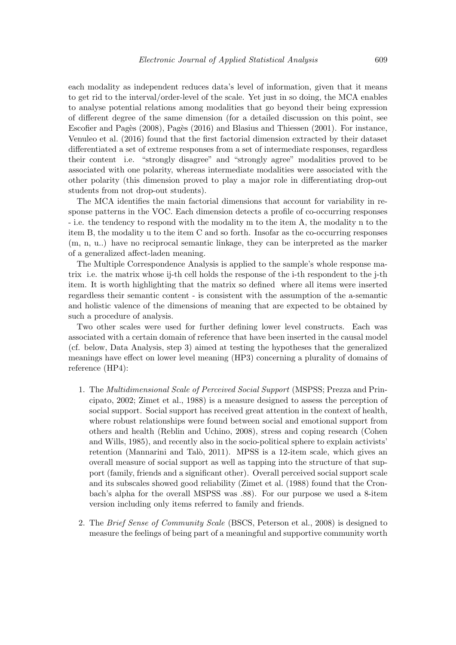each modality as independent reduces data's level of information, given that it means to get rid to the interval/order-level of the scale. Yet just in so doing, the MCA enables to analyse potential relations among modalities that go beyond their being expression of different degree of the same dimension (for a detailed discussion on this point, see Escofier and Pages (2008), Pages (2016) and Blasius and Thiessen (2001). For instance, Venuleo et al. (2016) found that the first factorial dimension extracted by their dataset differentiated a set of extreme responses from a set of intermediate responses, regardless their content i.e. "strongly disagree" and "strongly agree" modalities proved to be associated with one polarity, whereas intermediate modalities were associated with the other polarity (this dimension proved to play a major role in differentiating drop-out students from not drop-out students).

The MCA identifies the main factorial dimensions that account for variability in response patterns in the VOC. Each dimension detects a profile of co-occurring responses - i.e. the tendency to respond with the modality m to the item A, the modality n to the item B, the modality u to the item C and so forth. Insofar as the co-occurring responses  $(m, n, u.)$  have no reciprocal semantic linkage, they can be interpreted as the marker of a generalized affect-laden meaning.

The Multiple Correspondence Analysis is applied to the sample's whole response matrix i.e. the matrix whose i-th cell holds the response of the i-th respondent to the j-th item. It is worth highlighting that the matrix so defined where all items were inserted regardless their semantic content - is consistent with the assumption of the a-semantic and holistic valence of the dimensions of meaning that are expected to be obtained by such a procedure of analysis.

Two other scales were used for further defining lower level constructs. Each was associated with a certain domain of reference that have been inserted in the causal model (cf. below, Data Analysis, step 3) aimed at testing the hypotheses that the generalized meanings have effect on lower level meaning (HP3) concerning a plurality of domains of reference  $(HP4)$ :

- 1. The Multidimensional Scale of Perceived Social Support (MSPSS; Prezza and Principato, 2002; Zimet et al., 1988) is a measure designed to assess the perception of social support. Social support has received great attention in the context of health, where robust relationships were found between social and emotional support from others and health (Reblin and Uchino, 2008), stress and coping research (Cohen and Wills, 1985), and recently also in the socio-political sphere to explain activists' retention (Mannarini and Talò, 2011). MPSS is a 12-item scale, which gives an overall measure of social support as well as tapping into the structure of that support (family, friends and a significant other). Overall perceived social support scale and its subscales showed good reliability (Zimet et al. (1988) found that the Cronbach's alpha for the overall MSPSS was .88). For our purpose we used a 8-item version including only items referred to family and friends.
- 2. The Brief Sense of Community Scale (BSCS, Peterson et al., 2008) is designed to measure the feelings of being part of a meaningful and supportive community worth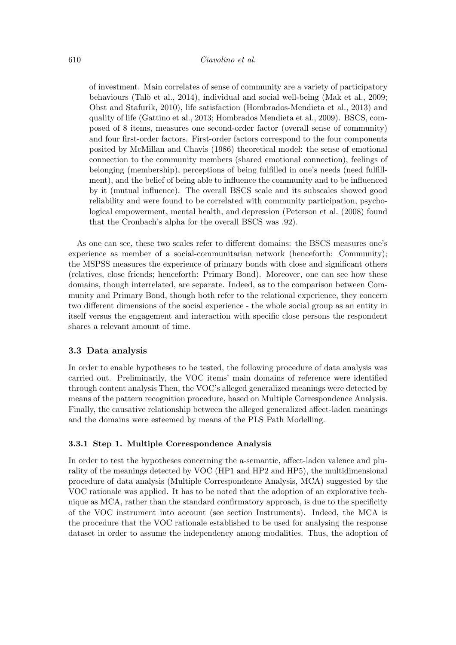of investment. Main correlates of sense of community are a variety of participatory behaviours (Talò et al., 2014), individual and social well-being (Mak et al., 2009; Obst and Stafurik, 2010), life satisfaction (Hombrados-Mendieta et al., 2013) and quality of life (Gattino et al., 2013; Hombrados Mendieta et al., 2009). BSCS, composed of 8 items, measures one second-order factor (overall sense of community) and four first-order factors. First-order factors correspond to the four components posited by McMillan and Chavis (1986) theoretical model: the sense of emotional connection to the community members (shared emotional connection), feelings of belonging (membership), perceptions of being fulfilled in one's needs (need fulfillment), and the belief of being able to influence the community and to be influenced by it (mutual influence). The overall BSCS scale and its subscales showed good reliability and were found to be correlated with community participation, psychological empowerment, mental health, and depression (Peterson et al. (2008) found that the Cronbach's alpha for the overall BSCS was .92).

As one can see, these two scales refer to different domains: the BSCS measures one's experience as member of a social-communitarian network (henceforth: Community); the MSPSS measures the experience of primary bonds with close and significant others (relatives, close friends; henceforth: Primary Bond). Moreover, one can see how these domains, though interrelated, are separate. Indeed, as to the comparison between Community and Primary Bond, though both refer to the relational experience, they concern two different dimensions of the social experience - the whole social group as an entity in itself versus the engagement and interaction with specific close persons the respondent shares a relevant amount of time.

#### 3.3 Data analysis

In order to enable hypotheses to be tested, the following procedure of data analysis was carried out. Preliminarily, the VOC items' main domains of reference were identified through content analysis Then, the VOC's alleged generalized meanings were detected by means of the pattern recognition procedure, based on Multiple Correspondence Analysis. Finally, the causative relationship between the alleged generalized affect-laden meanings and the domains were esteemed by means of the PLS Path Modelling.

#### 3.3.1 Step 1. Multiple Correspondence Analysis

In order to test the hypotheses concerning the a-semantic, affect-laden valence and plurality of the meanings detected by VOC (HP1 and HP2 and HP5), the multidimensional procedure of data analysis (Multiple Correspondence Analysis, MCA) suggested by the VOC rationale was applied. It has to be noted that the adoption of an explorative technique as MCA, rather than the standard confirmatory approach, is due to the specificity of the VOC instrument into account (see section Instruments). Indeed, the MCA is the procedure that the VOC rationale established to be used for analysing the response dataset in order to assume the independency among modalities. Thus, the adoption of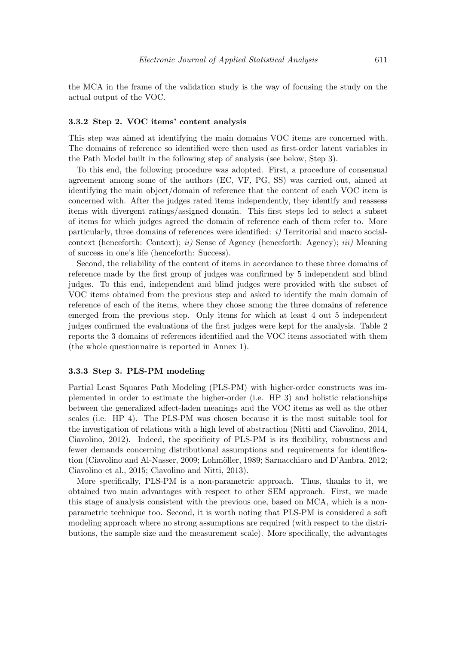the MCA in the frame of the validation study is the way of focusing the study on the actual output of the VOC.

#### 3.3.2 Step 2. VOC items' content analysis

This step was aimed at identifying the main domains VOC items are concerned with. The domains of reference so identified were then used as first-order latent variables in the Path Model built in the following step of analysis (see below, Step 3).

To this end, the following procedure was adopted. First, a procedure of consensual agreement among some of the authors (EC, VF, PG, SS) was carried out, aimed at identifying the main object/domain of reference that the content of each VOC item is concerned with. After the judges rated items independently, they identify and reassess items with divergent ratings/assigned domain. This first steps led to select a subset of items for which judges agreed the domain of reference each of them refer to. More particularly, three domains of references were identified:  $i$ ) Territorial and macro socialcontext (henceforth: Context); *ii*) Sense of Agency (henceforth: Agency); *iii*) Meaning of success in one's life (henceforth: Success).

Second, the reliability of the content of items in accordance to these three domains of reference made by the first group of judges was confirmed by 5 independent and blind judges. To this end, independent and blind judges were provided with the subset of VOC items obtained from the previous step and asked to identify the main domain of reference of each of the items, where they chose among the three domains of reference emerged from the previous step. Only items for which at least 4 out 5 independent judges confirmed the evaluations of the first judges were kept for the analysis. Table 2 reports the 3 domains of references identified and the VOC items associated with them (the whole questionnaire is reported in Annex 1).

#### 3.3.3 Step 3. PLS-PM modeling

Partial Least Squares Path Modeling (PLS-PM) with higher-order constructs was implemented in order to estimate the higher-order (i.e. HP 3) and holistic relationships between the generalized affect-laden meanings and the VOC items as well as the other scales (i.e. HP 4). The PLS-PM was chosen because it is the most suitable tool for the investigation of relations with a high level of abstraction (Nitti and Ciavolino, 2014, Ciavolino, 2012). Indeed, the specificity of PLS-PM is its flexibility, robustness and fewer demands concerning distributional assumptions and requirements for identification (Ciavolino and Al-Nasser, 2009; Lohmöller, 1989; Sarnacchiaro and D'Ambra, 2012; Ciavolino et al., 2015; Ciavolino and Nitti, 2013).

More specifically, PLS-PM is a non-parametric approach. Thus, thanks to it, we obtained two main advantages with respect to other SEM approach. First, we made this stage of analysis consistent with the previous one, based on MCA, which is a nonparametric technique too. Second, it is worth noting that PLS-PM is considered a soft modeling approach where no strong assumptions are required (with respect to the distributions, the sample size and the measurement scale). More specifically, the advantages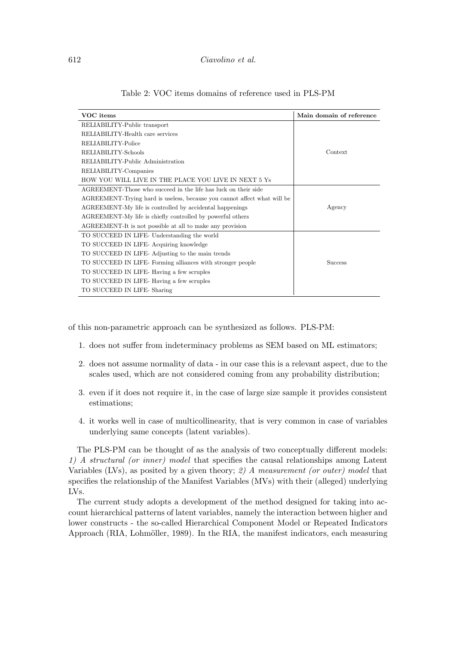#### Ciavolino et al.

| VOC items                                                                | Main domain of reference |
|--------------------------------------------------------------------------|--------------------------|
| RELIABILITY-Public transport                                             |                          |
| RELIABILITY-Health care services                                         |                          |
| RELIABILITY-Police                                                       |                          |
| RELIABILITY-Schools                                                      | Context                  |
| RELIABILITY-Public Administration                                        |                          |
| RELIABILITY-Companies                                                    |                          |
| HOW YOU WILL LIVE IN THE PLACE YOU LIVE IN NEXT 5 Ys                     |                          |
| AGREEMENT-Those who succeed in the life has luck on their side           |                          |
| AGREEMENT-Trying hard is useless, because you cannot affect what will be |                          |
| AGREEMENT-My life is controlled by accidental happenings                 | Agency                   |
| AGREEMENT-My life is chiefly controlled by powerful others               |                          |
| AGREEMENT-It is not possible at all to make any provision                |                          |
| TO SUCCEED IN LIFE-Understanding the world                               |                          |
| TO SUCCEED IN LIFE-Acquiring knowledge                                   |                          |
| TO SUCCEED IN LIFE-Adjusting to the main trends                          |                          |
| TO SUCCEED IN LIFE-Forming alliances with stronger people                | <b>Success</b>           |
| TO SUCCEED IN LIFE-Having a few scruples                                 |                          |
| TO SUCCEED IN LIFE-Having a few scruples                                 |                          |
| TO SUCCEED IN LIFE-Sharing                                               |                          |

#### Table 2: VOC items domains of reference used in PLS-PM

of this non-parametric approach can be synthesized as follows. PLS-PM:

- 1. does not suffer from indeterminacy problems as SEM based on ML estimators;
- 2. does not assume normality of data in our case this is a relevant aspect, due to the scales used, which are not considered coming from any probability distribution:
- 3. even if it does not require it, in the case of large size sample it provides consistent estimations:
- 4. it works well in case of multicollinearity, that is very common in case of variables underlying same concepts (latent variables).

The PLS-PM can be thought of as the analysis of two conceptually different models: 1) A structural (or inner) model that specifies the causal relationships among Latent Variables (LVs), as posited by a given theory; 2) A measurement (or outer) model that specifies the relationship of the Manifest Variables (MVs) with their (alleged) underlying  $IVs.$ 

The current study adopts a development of the method designed for taking into account hierarchical patterns of latent variables, namely the interaction between higher and lower constructs - the so-called Hierarchical Component Model or Repeated Indicators Approach (RIA, Lohmöller, 1989). In the RIA, the manifest indicators, each measuring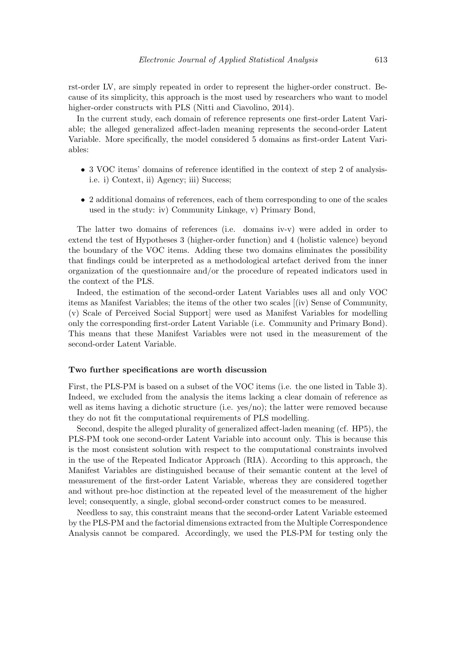rst-order LV, are simply repeated in order to represent the higher-order construct. Because of its simplicity, this approach is the most used by researchers who want to model higher-order constructs with PLS (Nitti and Ciavolino, 2014).

In the current study, each domain of reference represents one first-order Latent Variable; the alleged generalized affect-laden meaning represents the second-order Latent Variable. More specifically, the model considered 5 domains as first-order Latent Variables:

- 3 VOC items' domains of reference identified in the context of step 2 of analysisi.e. i) Context, ii) Agency; iii) Success;
- 2 additional domains of references, each of them corresponding to one of the scales used in the study: iv) Community Linkage, v) Primary Bond,

The latter two domains of references (i.e. domains iv-v) were added in order to extend the test of Hypotheses 3 (higher-order function) and 4 (holistic valence) beyond the boundary of the VOC items. Adding these two domains eliminates the possibility that findings could be interpreted as a methodological artefact derived from the inner organization of the questionnaire and/or the procedure of repeated indicators used in the context of the PLS.

Indeed, the estimation of the second-order Latent Variables uses all and only VOC items as Manifest Variables; the items of the other two scales [(iv) Sense of Community. (v) Scale of Perceived Social Support were used as Manifest Variables for modelling only the corresponding first-order Latent Variable (i.e. Community and Primary Bond). This means that these Manifest Variables were not used in the measurement of the second-order Latent Variable.

#### Two further specifications are worth discussion

First, the PLS-PM is based on a subset of the VOC items (i.e. the one listed in Table 3). Indeed, we excluded from the analysis the items lacking a clear domain of reference as well as items having a dichotic structure (i.e. yes/no); the latter were removed because they do not fit the computational requirements of PLS modelling.

Second, despite the alleged plurality of generalized affect-laden meaning (cf. HP5), the PLS-PM took one second-order Latent Variable into account only. This is because this is the most consistent solution with respect to the computational constraints involved in the use of the Repeated Indicator Approach (RIA). According to this approach, the Manifest Variables are distinguished because of their semantic content at the level of measurement of the first-order Latent Variable, whereas they are considered together and without pre-hoc distinction at the repeated level of the measurement of the higher level; consequently, a single, global second-order construct comes to be measured.

Needless to say, this constraint means that the second-order Latent Variable esteemed by the PLS-PM and the factorial dimensions extracted from the Multiple Correspondence Analysis cannot be compared. Accordingly, we used the PLS-PM for testing only the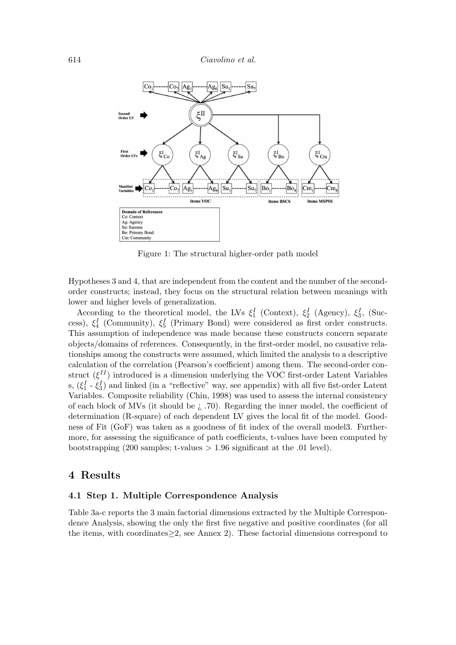

Figure 1: The structural higher-order path model

Hypotheses 3 and 4, that are independent from the content and the number of the secondorder constructs; instead, they focus on the structural relation between meanings with lower and higher levels of generalization.

According to the theoretical model, the LVs  $\xi_1^I$  (Context),  $\xi_2^I$  (Agency),  $\xi_3^I$ , (Success),  $\xi_4^I$  (Community),  $\xi_5^I$  (Primary Bond) were considered as first order constructs. This assumption of independence was made because these constructs concern separate objects/domains of references. Consequently, in the first-order model, no causative relationships among the constructs were assumed, which limited the analysis to a descriptive calculation of the correlation (Pearson's coefficient) among them. The second-order construct  $(\xi^{II})$  introduced is a dimension underlying the VOC first-order Latent Variables s,  $(\xi_1^I - \xi_3^I)$  and linked (in a "reflective" way, see appendix) with all five fist-order Latent Variables. Composite reliability (Chin, 1998) was used to assess the internal consistency of each block of MVs (it should be  $i$ , .70). Regarding the inner model, the coefficient of determination (R-square) of each dependent LV gives the local fit of the model. Goodness of Fit (GoF) was taken as a goodness of fit index of the overall model. Furthermore, for assessing the significance of path coefficients, t-values have been computed by bootstrapping (200 samples; t-values  $> 1.96$  significant at the 0.01 level).

## 4 Results

### 4.1 Step 1. Multiple Correspondence Analysis

Table 3a-c reports the 3 main factorial dimensions extracted by the Multiple Correspondence Analysis, showing the only the first five negative and positive coordinates (for all the items, with coordinates  $\geq$  2, see Annex 2). These factorial dimensions correspond to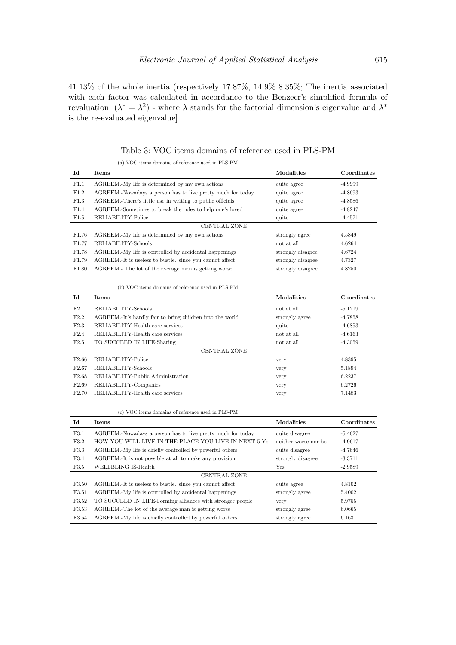$41.13\%$  of the whole inertia (respectively 17.87%, 14.9% 8.35%; The inertia associated with each factor was calculated in accordance to the Benzecr's simplified formula of revaluation  $[(\lambda^* = \lambda^2)$  - where  $\lambda$  stands for the factorial dimension's eigenvalue and  $\lambda^*$ is the re-evaluated eigenvalue].

|                     | (a) VOC items domains of reference used in PLS-PM           |                   |             |  |  |
|---------------------|-------------------------------------------------------------|-------------------|-------------|--|--|
| Id                  | <b>Items</b>                                                | Modalities        | Coordinates |  |  |
| F1.1                | AGREEM. My life is determined by my own actions             | quite agree       | $-4.9999$   |  |  |
| F1.2                | AGREEM.-Nowadays a person has to live pretty much for today | quite agree       | $-4.8693$   |  |  |
| F1.3                | AGREEM. There's little use in writing to public officials   | quite agree       | $-4.8586$   |  |  |
| F1.4                | AGREEM.-Sometimes to break the rules to help one's loved    | quite agree       | $-4.8247$   |  |  |
| F1.5                | RELIABILITY-Police                                          | quite             | $-4.4571$   |  |  |
| <b>CENTRAL ZONE</b> |                                                             |                   |             |  |  |
| F1.76               | AGREEM. My life is determined by my own actions             | strongly agree    | 4.5849      |  |  |
| F1.77               | RELIABILITY-Schools                                         | not at all        | 4.6264      |  |  |
| F1.78               | AGREEM.-My life is controlled by accidental happenings      | strongly disagree | 4.6724      |  |  |
| F1.79               | AGREEM.-It is useless to bustle, since you cannot affect    | strongly disagree | 4.7327      |  |  |
| F1.80               | AGREEM. The lot of the average man is getting worse         | strongly disagree | 4.8250      |  |  |

Table 3: VOC items domains of reference used in PLS-PM

(b) VOC items domains of reference used in PLS-PM

| Id                | <b>Items</b>                                              | Modalities     | Coordinates |  |  |
|-------------------|-----------------------------------------------------------|----------------|-------------|--|--|
| F2.1              | RELIABILITY-Schools                                       | not at all     | $-5.1219$   |  |  |
| F2.2              | AGREEM.-It's hardly fair to bring children into the world | strongly agree | $-4.7858$   |  |  |
| F2.3              | RELIABILITY-Health care services                          | quite          | $-4.6853$   |  |  |
| F2.4              | RELIABILITY-Health care services                          | not at all     | $-4.6163$   |  |  |
| F2.5              | TO SUCCEED IN LIFE-Sharing                                | not at all     | $-4.3059$   |  |  |
|                   | <b>CENTRAL ZONE</b>                                       |                |             |  |  |
| F <sub>2.66</sub> | RELIABILITY-Police                                        | very           | 4.8395      |  |  |
| F <sub>2.67</sub> | RELIABILITY-Schools                                       | very           | 5.1894      |  |  |
| F <sub>2.68</sub> | RELIABILITY-Public Administration                         | very           | 6.2237      |  |  |
| F <sub>2.69</sub> | RELIABILITY-Companies                                     | very           | 6.2726      |  |  |
| F2.70             | RELIABILITY-Health care services                          | very           | 7.1483      |  |  |

(c) VOC items domains of reference used in PLS-PM

| Id    | <b>Items</b>                                                | <b>Modalities</b>    | Coordinates |
|-------|-------------------------------------------------------------|----------------------|-------------|
| F3.1  | AGREEM.-Nowadays a person has to live pretty much for today | quite disagree       | $-5.4627$   |
| F3.2  | HOW YOU WILL LIVE IN THE PLACE YOU LIVE IN NEXT 5 Ys        | neither worse nor be | $-4.9617$   |
| F3.3  | AGREEM.-My life is chiefly controlled by powerful others    | quite disagree       | $-4.7646$   |
| F3.4  | AGREEM. It is not possible at all to make any provision     | strongly disagree    | $-3.3711$   |
| F3.5  | WELLBEING IS-Health                                         | Yes                  | $-2.9589$   |
|       | CENTRAL ZONE                                                |                      |             |
| F3.50 | AGREEM. It is useless to bustle, since you cannot affect    | quite agree          | 4.8102      |
| F3.51 | AGREEM.-My life is controlled by accidental happenings      | strongly agree       | 5.4002      |
| F3.52 | TO SUCCEED IN LIFE-Forming alliances with stronger people   | very                 | 5.9755      |
| F3.53 | AGREEM.-The lot of the average man is getting worse         | strongly agree       | 6.0665      |
| F3.54 | AGREEM.-My life is chiefly controlled by powerful others    | strongly agree       | 6.1631      |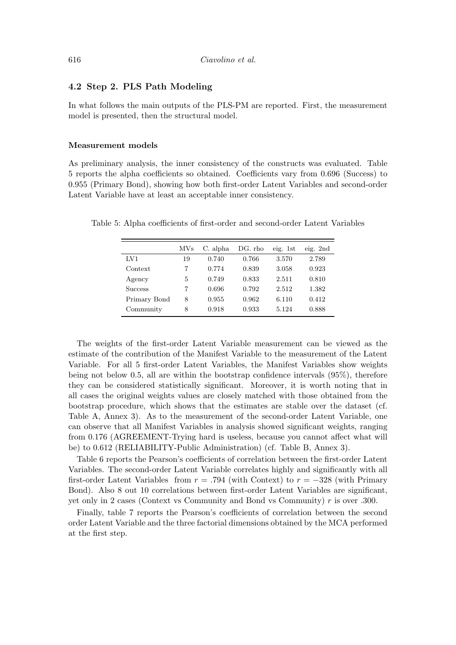#### 4.2 Step 2. PLS Path Modeling

In what follows the main outputs of the PLS-PM are reported. First, the measurement model is presented, then the structural model.

#### **Measurement** models

As preliminary analysis, the inner consistency of the constructs was evaluated. Table 5 reports the alpha coefficients so obtained. Coefficients vary from 0.696 (Success) to 0.955 (Primary Bond), showing how both first-order Latent Variables and second-order Latent Variable have at least an acceptable inner consistency.

|                | <b>MVs</b> | C. alpha | DG. rho | eig. 1st | eig. $2nd$ |
|----------------|------------|----------|---------|----------|------------|
| LV1            | 19         | 0.740    | 0.766   | 3.570    | 2.789      |
| Context        |            | 0.774    | 0.839   | 3.058    | 0.923      |
| Agency         | 5          | 0.749    | 0.833   | 2.511    | 0.810      |
| <b>Success</b> | 7          | 0.696    | 0.792   | 2.512    | 1.382      |
| Primary Bond   | 8          | 0.955    | 0.962   | 6.110    | 0.412      |
| Community      | 8          | 0.918    | 0.933   | 5.124    | 0.888      |

Table 5: Alpha coefficients of first-order and second-order Latent Variables

The weights of the first-order Latent Variable measurement can be viewed as the estimate of the contribution of the Manifest Variable to the measurement of the Latent Variable. For all 5 first-order Latent Variables, the Manifest Variables show weights being not below 0.5, all are within the bootstrap confidence intervals  $(95\%)$ , therefore they can be considered statistically significant. Moreover, it is worth noting that in all cases the original weights values are closely matched with those obtained from the bootstrap procedure, which shows that the estimates are stable over the dataset (cf. Table A, Annex 3). As to the measurement of the second-order Latent Variable, one can observe that all Manifest Variables in analysis showed significant weights, ranging from 0.176 (AGREEMENT-Trying hard is useless, because you cannot affect what will be) to 0.612 (RELIABILITY-Public Administration) (cf. Table B, Annex 3).

Table 6 reports the Pearson's coefficients of correlation between the first-order Latent Variables. The second-order Latent Variable correlates highly and significantly with all first-order Latent Variables from  $r = .794$  (with Context) to  $r = -328$  (with Primary Bond). Also 8 out 10 correlations between first-order Latent Variables are significant, yet only in 2 cases (Context vs Community and Bond vs Community) r is over .300.

Finally, table 7 reports the Pearson's coefficients of correlation between the second order Latent Variable and the three factorial dimensions obtained by the MCA performed at the first step.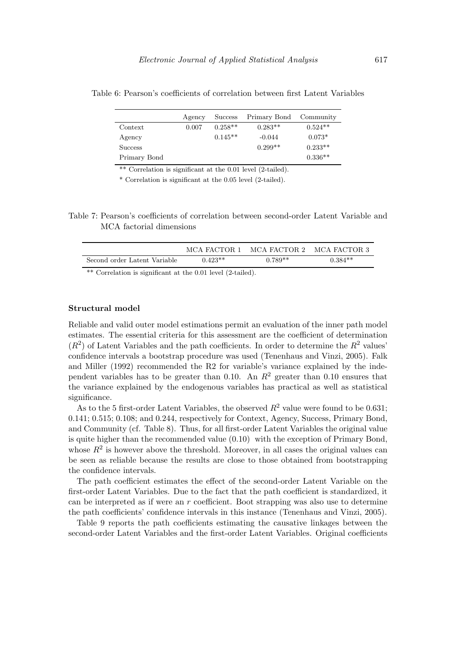|                | Agency | <b>Success</b> | Primary Bond Community |           |
|----------------|--------|----------------|------------------------|-----------|
| Context        | 0.007  | $0.258**$      | $0.283**$              | $0.524**$ |
| Agency         |        | $0.145**$      | $-0.044$               | $0.073*$  |
| <b>Success</b> |        |                | $0.299**$              | $0.233**$ |
| Primary Bond   |        |                |                        | $0.336**$ |

Table 6: Pearson's coefficients of correlation between first Latent Variables

\*\* Correlation is significant at the 0.01 level (2-tailed).

\* Correlation is significant at the 0.05 level (2-tailed).

Table 7: Pearson's coefficients of correlation between second-order Latent Variable and MCA factorial dimensions

|                              | MCA FACTOR 1 | MCA FACTOR 2 | MCA FACTOR 3 |
|------------------------------|--------------|--------------|--------------|
| Second order Latent Variable | $0.423**$    | $0.789**$    | $0.384**$    |
|                              |              |              |              |

\*\* Correlation is significant at the 0.01 level (2-tailed).

#### Structural model

Reliable and valid outer model estimations permit an evaluation of the inner path model estimates. The essential criteria for this assessment are the coefficient of determination  $(R<sup>2</sup>)$  of Latent Variables and the path coefficients. In order to determine the  $R<sup>2</sup>$  values' confidence intervals a bootstrap procedure was used (Tenenhaus and Vinzi, 2005). Falk and Miller (1992) recommended the R2 for variable's variance explained by the independent variables has to be greater than 0.10. An  $R^2$  greater than 0.10 ensures that the variance explained by the endogenous variables has practical as well as statistical significance.

As to the 5 first-order Latent Variables, the observed  $R^2$  value were found to be 0.631: 0.141; 0.515; 0.108; and 0.244, respectively for Context, Agency, Success, Primary Bond, and Community (cf. Table 8). Thus, for all first-order Latent Variables the original value is quite higher than the recommended value  $(0.10)$  with the exception of Primary Bond, whose  $R^2$  is however above the threshold. Moreover, in all cases the original values can be seen as reliable because the results are close to those obtained from bootstrapping the confidence intervals.

The path coefficient estimates the effect of the second-order Latent Variable on the first-order Latent Variables. Due to the fact that the path coefficient is standardized, it can be interpreted as if were an  $r$  coefficient. Boot strapping was also use to determine the path coefficients' confidence intervals in this instance (Tenenhaus and Vinzi, 2005).

Table 9 reports the path coefficients estimating the causative linkages between the second-order Latent Variables and the first-order Latent Variables. Original coefficients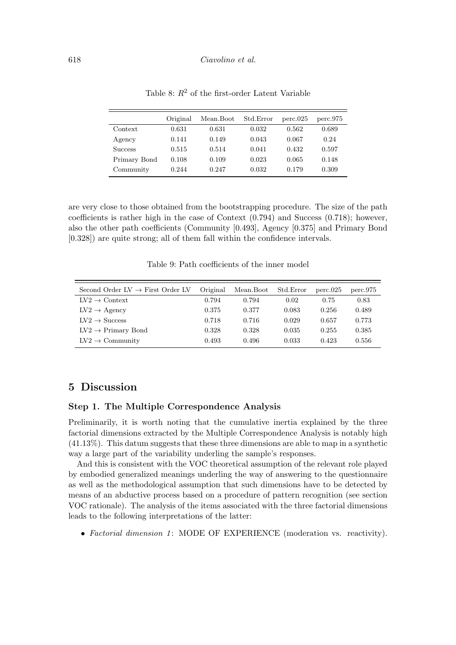|                | Original | Mean.Boot | Std.Error | perc.025 | perc.975 |
|----------------|----------|-----------|-----------|----------|----------|
| Context        | 0.631    | 0.631     | 0.032     | 0.562    | 0.689    |
| Agency         | 0.141    | 0.149     | 0.043     | 0.067    | 0.24     |
| <b>Success</b> | 0.515    | 0.514     | 0.041     | 0.432    | 0.597    |
| Primary Bond   | 0.108    | 0.109     | 0.023     | 0.065    | 0.148    |
| Community      | 0.244    | 0.247     | 0.032     | 0.179    | 0.309    |

Table 8:  $R^2$  of the first-order Latent Variable

are very close to those obtained from the bootstrapping procedure. The size of the path coefficients is rather high in the case of Context  $(0.794)$  and Success  $(0.718)$ ; however, also the other path coefficients (Community [0.493], Agency [0.375] and Primary Bond  $[0.328]$  are quite strong; all of them fall within the confidence intervals.

Table 9: Path coefficients of the inner model

| Second Order $LV \rightarrow$ First Order LV | Original | Mean.Boot | Std.Error | perc.025 | perc.975 |
|----------------------------------------------|----------|-----------|-----------|----------|----------|
| $LV2 \rightarrow$ Context                    | 0.794    | 0.794     | 0.02      | 0.75     | 0.83     |
| $LV2 \rightarrow \text{Agency}$              | 0.375    | 0.377     | 0.083     | 0.256    | 0.489    |
| $LV2 \rightarrow Success$                    | 0.718    | 0.716     | 0.029     | 0.657    | 0.773    |
| $LV2 \rightarrow Primary Bond$               | 0.328    | 0.328     | 0.035     | 0.255    | 0.385    |
| $LV2 \rightarrow$ Community                  | 0.493    | 0.496     | 0.033     | 0.423    | 0.556    |

## 5 Discussion

## Step 1. The Multiple Correspondence Analysis

Preliminarily, it is worth noting that the cumulative inertia explained by the three factorial dimensions extracted by the Multiple Correspondence Analysis is notably high  $(41.13\%)$ . This datum suggests that these three dimensions are able to map in a synthetic way a large part of the variability underling the sample's responses.

And this is consistent with the VOC theoretical assumption of the relevant role played by embodied generalized meanings underling the way of answering to the questionnaire as well as the methodological assumption that such dimensions have to be detected by means of an abductive process based on a procedure of pattern recognition (see section VOC rationale). The analysis of the items associated with the three factorial dimensions leads to the following interpretations of the latter:

• Factorial dimension 1: MODE OF EXPERIENCE (moderation vs. reactivity).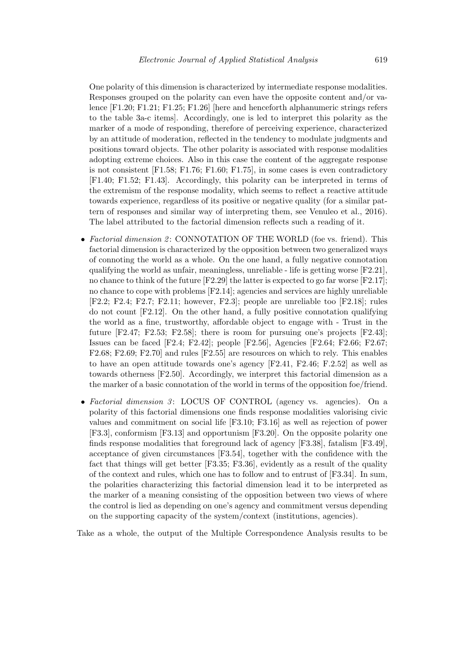One polarity of this dimension is characterized by intermediate response modalities. Responses grouped on the polarity can even have the opposite content and/or valence [F1.20; F1.21; F1.25; F1.26] [here and henceforth alphanumeric strings refers to the table 3a-c items. Accordingly, one is led to interpret this polarity as the marker of a mode of responding, therefore of perceiving experience, characterized by an attitude of moderation, reflected in the tendency to modulate judgments and positions toward objects. The other polarity is associated with response modalities adopting extreme choices. Also in this case the content of the aggregate response is not consistent  $[F1.58; F1.76; F1.60; F1.75]$ , in some cases is even contradictory [F1.40; F1.52; F1.43]. Accordingly, this polarity can be interpreted in terms of the extremism of the response modality, which seems to reflect a reactive attitude towards experience, regardless of its positive or negative quality (for a similar pattern of responses and similar way of interpreting them, see Venuleo et al., 2016). The label attributed to the factorial dimension reflects such a reading of it.

- Factorial dimension 2: CONNOTATION OF THE WORLD (foe vs. friend). This factorial dimension is characterized by the opposition between two generalized ways of connoting the world as a whole. On the one hand, a fully negative connotation qualifying the world as unfair, meaningless, unreliable - life is getting worse  $[F2.21]$ , no chance to think of the future  $[F2.29]$  the latter is expected to go far worse  $[F2.17]$ ; no chance to cope with problems [F2.14]; agencies and services are highly unreliable  $[F2.2; F2.4; F2.7; F2.11; however, F2.3];$  people are unreliable too  $[F2.18];$  rules do not count  $[F2.12]$ . On the other hand, a fully positive connotation qualifying the world as a fine, trustworthy, affordable object to engage with - Trust in the future  $[F2.47; F2.53; F2.58]$ ; there is room for pursuing one's projects  $[F2.43]$ ; Issues can be faced [F2.4; F2.42]; people [F2.56], Agencies [F2.64; F2.66; F2.67;  $F2.68$ ;  $F2.69$ ;  $F2.70$  and rules  $[F2.55]$  are resources on which to rely. This enables to have an open attitude towards one's agency  $[F2.41, F2.46; F.2.52]$  as well as towards otherness [F2.50]. Accordingly, we interpret this factorial dimension as a the marker of a basic connotation of the world in terms of the opposition foe/friend.
- Factorial dimension  $\beta$ : LOCUS OF CONTROL (agency vs. agencies). On a polarity of this factorial dimensions one finds response modalities valorising civic values and commitment on social life [F3.10; F3.16] as well as rejection of power [F3.3], conformism [F3.13] and opportunism [F3.20]. On the opposite polarity one finds response modalities that foreground lack of agency  $[F3.38]$ , fatalism  $[F3.49]$ , acceptance of given circumstances [F3.54], together with the confidence with the fact that things will get better [F3.35; F3.36], evidently as a result of the quality of the context and rules, which one has to follow and to entrust of [F3.34]. In sum, the polarities characterizing this factorial dimension lead it to be interpreted as the marker of a meaning consisting of the opposition between two views of where the control is lied as depending on one's agency and commitment versus depending on the supporting capacity of the system/context (institutions, agencies).

Take as a whole, the output of the Multiple Correspondence Analysis results to be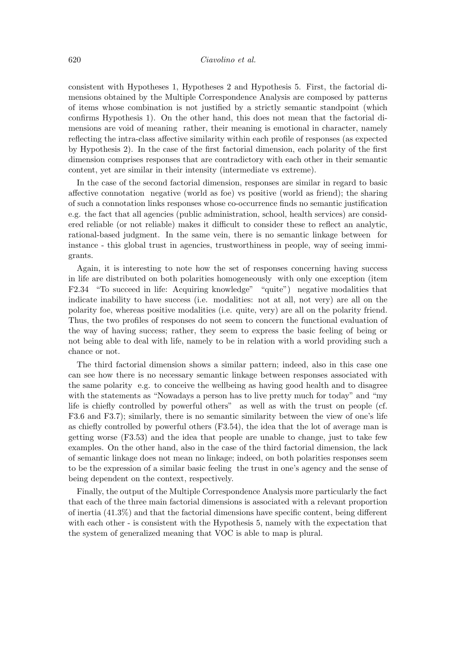consistent with Hypotheses 1, Hypotheses 2 and Hypothesis 5. First, the factorial dimensions obtained by the Multiple Correspondence Analysis are composed by patterns of items whose combination is not justified by a strictly semantic standpoint (which confirms Hypothesis 1). On the other hand, this does not mean that the factorial dimensions are void of meaning rather, their meaning is emotional in character, namely reflecting the intra-class affective similarity within each profile of responses (as expected by Hypothesis 2). In the case of the first factorial dimension, each polarity of the first dimension comprises responses that are contradictory with each other in their semantic content, yet are similar in their intensity (intermediate vs extreme).

In the case of the second factorial dimension, responses are similar in regard to basic affective connotation negative (world as foe) vs positive (world as friend); the sharing of such a connotation links responses whose co-occurrence finds no semantic justification e.g. the fact that all agencies (public administration, school, health services) are considered. ered reliable (or not reliable) makes it difficult to consider these to reflect an analytic, rational-based judgment. In the same vein, there is no semantic linkage between for instance - this global trust in agencies, trustworthiness in people, way of seeing immigrants.

Again, it is interesting to note how the set of responses concerning having success in life are distributed on both polarities homogeneously with only one exception (item F2.34 "To succeed in life: Acquiring knowledge" "quite") negative modalities that indicate inability to have success (i.e. modalities: not at all, not very) are all on the polarity foe, whereas positive modalities (i.e. quite, very) are all on the polarity friend. Thus, the two profiles of responses do not seem to concern the functional evaluation of the way of having success; rather, they seem to express the basic feeling of being or not being able to deal with life, namely to be in relation with a world providing such a chance or not.

The third factorial dimension shows a similar pattern; indeed, also in this case one can see how there is no necessary semantic linkage between responses associated with the same polarity e.g. to conceive the wellbeing as having good health and to disagree with the statements as "Nowadays a person has to live pretty much for today" and "my life is chiefly controlled by powerful others" as well as with the trust on people (cf. F3.6 and F3.7); similarly, there is no semantic similarity between the view of one's life as chiefly controlled by powerful others  $(F3.54)$ , the idea that the lot of average man is getting worse (F3.53) and the idea that people are unable to change, just to take few examples. On the other hand, also in the case of the third factorial dimension, the lack of semantic linkage does not mean no linkage; indeed, on both polarities responses seem to be the expression of a similar basic feeling the trust in one's agency and the sense of being dependent on the context, respectively.

Finally, the output of the Multiple Correspondence Analysis more particularly the fact that each of the three main factorial dimensions is associated with a relevant proportion of inertia  $(41.3\%)$  and that the factorial dimensions have specific content, being different with each other - is consistent with the Hypothesis 5, namely with the expectation that the system of generalized meaning that VOC is able to map is plural.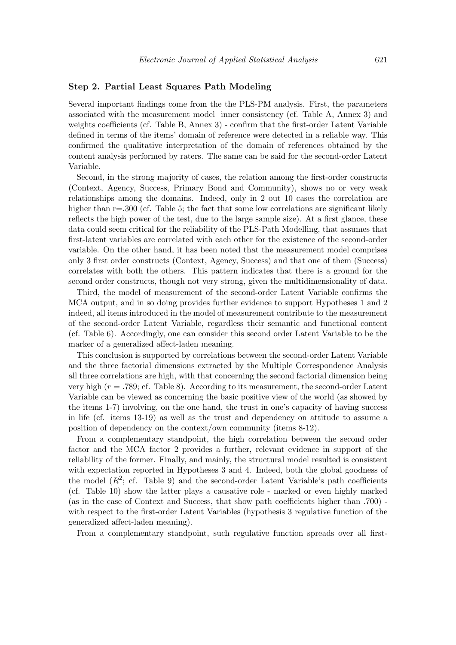#### Step 2. Partial Least Squares Path Modeling

Several important findings come from the the PLS-PM analysis. First, the parameters associated with the measurement model inner consistency (cf. Table A, Annex 3) and weights coefficients (cf. Table B, Annex 3) - confirm that the first-order Latent Variable defined in terms of the items' domain of reference were detected in a reliable way. This confirmed the qualitative interpretation of the domain of references obtained by the content analysis performed by raters. The same can be said for the second-order Latent Variable.

Second, in the strong majority of cases, the relation among the first-order constructs (Context, Agency, Success, Primary Bond and Community), shows no or very weak relationships among the domains. Indeed, only in 2 out 10 cases the correlation are higher than  $r = 0.300$  (cf. Table 5; the fact that some low correlations are significant likely reflects the high power of the test, due to the large sample size). At a first glance, these data could seem critical for the reliability of the PLS-Path Modelling, that assumes that first-latent variables are correlated with each other for the existence of the second-order variable. On the other hand, it has been noted that the measurement model comprises only 3 first order constructs (Context, Agency, Success) and that one of them (Success) correlates with both the others. This pattern indicates that there is a ground for the second order constructs, though not very strong, given the multidimensionality of data.

Third, the model of measurement of the second-order Latent Variable confirms the MCA output, and in so doing provides further evidence to support Hypotheses 1 and 2 indeed, all items introduced in the model of measurement contribute to the measurement of the second-order Latent Variable, regardless their semantic and functional content (cf. Table 6). Accordingly, one can consider this second order Latent Variable to be the marker of a generalized affect-laden meaning.

This conclusion is supported by correlations between the second-order Latent Variable and the three factorial dimensions extracted by the Multiple Correspondence Analysis all three correlations are high, with that concerning the second factorial dimension being very high  $(r = .789; cf.$  Table 8). According to its measurement, the second-order Latent Variable can be viewed as concerning the basic positive view of the world (as showed by the items 1-7) involving, on the one hand, the trust in one's capacity of having success in life (cf. items 13-19) as well as the trust and dependency on attitude to assume a position of dependency on the context/own community (items 8-12).

From a complementary standpoint, the high correlation between the second order factor and the MCA factor 2 provides a further, relevant evidence in support of the reliability of the former. Finally, and mainly, the structural model resulted is consistent with expectation reported in Hypotheses 3 and 4. Indeed, both the global goodness of the model  $(R^2$ ; cf. Table 9) and the second-order Latent Variable's path coefficients (cf. Table 10) show the latter plays a causative role - marked or even highly marked (as in the case of Context and Success, that show path coefficients higher than .700) with respect to the first-order Latent Variables (hypothesis 3 regulative function of the generalized affect-laden meaning).

From a complementary standpoint, such regulative function spreads over all first-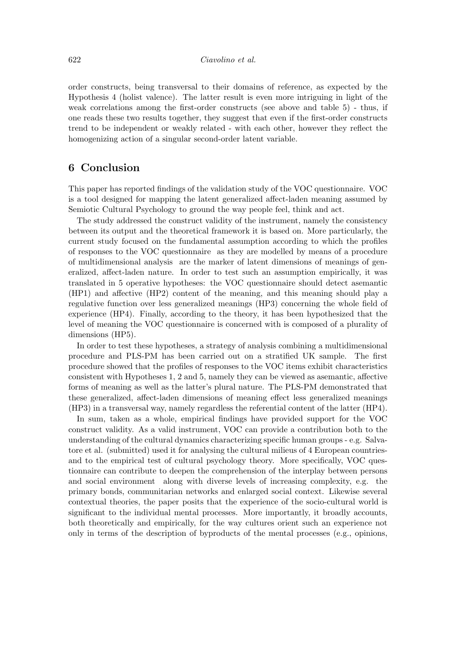order constructs, being transversal to their domains of reference, as expected by the Hypothesis 4 (holist valence). The latter result is even more intriguing in light of the weak correlations among the first-order constructs (see above and table 5) - thus, if one reads these two results together, they suggest that even if the first-order constructs trend to be independent or weakly related - with each other, however they reflect the homogenizing action of a singular second-order latent variable.

# 6 Conclusion

This paper has reported findings of the validation study of the VOC questionnaire. VOC is a tool designed for mapping the latent generalized affect-laden meaning assumed by Semiotic Cultural Psychology to ground the way people feel, think and act.

The study addressed the construct validity of the instrument, namely the consistency between its output and the theoretical framework it is based on. More particularly, the current study focused on the fundamental assumption according to which the profiles of responses to the VOC questionnaire as they are modelled by means of a procedure of multidimensional analysis are the marker of latent dimensions of meanings of generalized, affect-laden nature. In order to test such an assumption empirically, it was translated in 5 operative hypotheses: the VOC questionnaire should detect asemantic (HP1) and affective (HP2) content of the meaning, and this meaning should play a regulative function over less generalized meanings (HP3) concerning the whole field of experience (HP4). Finally, according to the theory, it has been hypothesized that the level of meaning the VOC questionnaire is concerned with is composed of a plurality of dimensions  $(HP5)$ .

In order to test these hypotheses, a strategy of analysis combining a multidimensional procedure and PLS-PM has been carried out on a stratified UK sample. The first procedure showed that the profiles of responses to the VOC items exhibit characteristics consistent with Hypotheses 1, 2 and 5, namely they can be viewed as a semantic, affective forms of meaning as well as the latter's plural nature. The PLS-PM demonstrated that these generalized, affect-laden dimensions of meaning effect less generalized meanings  $(HP3)$  in a transversal way, namely regardless the referential content of the latter  $(HP4)$ .

In sum, taken as a whole, empirical findings have provided support for the VOC construct validity. As a valid instrument, VOC can provide a contribution both to the understanding of the cultural dynamics characterizing specific human groups - e.g. Salvatore et al. (submitted) used it for analysing the cultural milieus of 4 European countriesand to the empirical test of cultural psychology theory. More specifically, VOC questionnaire can contribute to deepen the comprehension of the interplay between persons and social environment along with diverse levels of increasing complexity, e.g. the primary bonds, communitarian networks and enlarged social context. Likewise several contextual theories, the paper posits that the experience of the socio-cultural world is significant to the individual mental processes. More importantly, it broadly accounts, both theoretically and empirically, for the way cultures orient such an experience not only in terms of the description of byproducts of the mental processes (e.g., opinions,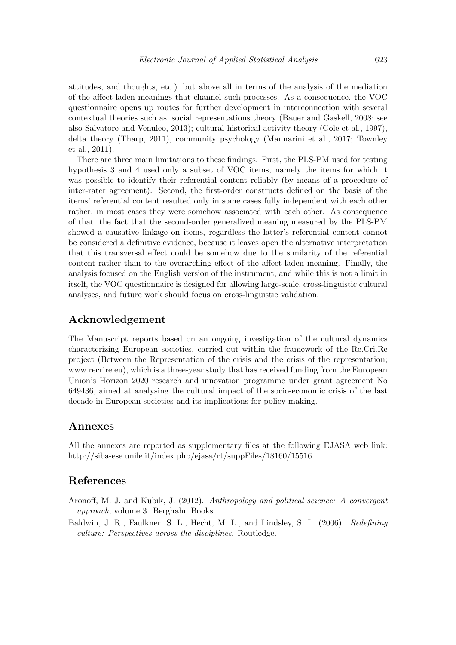attitudes, and thoughts, etc.) but above all in terms of the analysis of the mediation of the affect-laden meanings that channel such processes. As a consequence, the VOC questionnaire opens up routes for further development in interconnection with several contextual theories such as, social representations theory (Bauer and Gaskell, 2008; see also Salvatore and Venuleo, 2013); cultural-historical activity theory (Cole et al., 1997), delta theory (Tharp, 2011), community psychology (Mannarini et al., 2017; Townley  $et al., 2011).$ 

There are three main limitations to these findings. First, the PLS-PM used for testing hypothesis 3 and 4 used only a subset of VOC items, namely the items for which it was possible to identify their referential content reliably (by means of a procedure of inter-rater agreement). Second, the first-order constructs defined on the basis of the items' referential content resulted only in some cases fully independent with each other rather, in most cases they were somehow associated with each other. As consequence of that, the fact that the second-order generalized meaning measured by the PLS-PM showed a causative linkage on items, regardless the latter's referential content cannot be considered a definitive evidence, because it leaves open the alternative interpretation that this transversal effect could be somehow due to the similarity of the referential content rather than to the overarching effect of the affect-laden meaning. Finally, the analysis focused on the English version of the instrument, and while this is not a limit in itself, the VOC questionnaire is designed for allowing large-scale, cross-linguistic cultural analyses, and future work should focus on cross-linguistic validation.

# Acknowledgement

The Manuscript reports based on an ongoing investigation of the cultural dynamics characterizing European societies, carried out within the framework of the Re.Cri.Re project (Between the Representation of the crisis and the crisis of the representation; www.recrire.eu), which is a three-year study that has received funding from the European Union's Horizon 2020 research and innovation programme under grant agreement No 649436, aimed at analysing the cultural impact of the socio-economic crisis of the last decade in European societies and its implications for policy making.

## Annexes

All the annexes are reported as supplementary files at the following EJASA web link: http://siba-ese.unile.it/index.php/ejasa/rt/suppFiles/18160/15516

## References

- Aronoff, M. J. and Kubik, J. (2012). Anthropology and political science: A convergent *approach*, volume 3. Berghahn Books.
- Baldwin, J. R., Faulkner, S. L., Hecht, M. L., and Lindsley, S. L. (2006). Redefining culture: Perspectives across the disciplines. Routledge.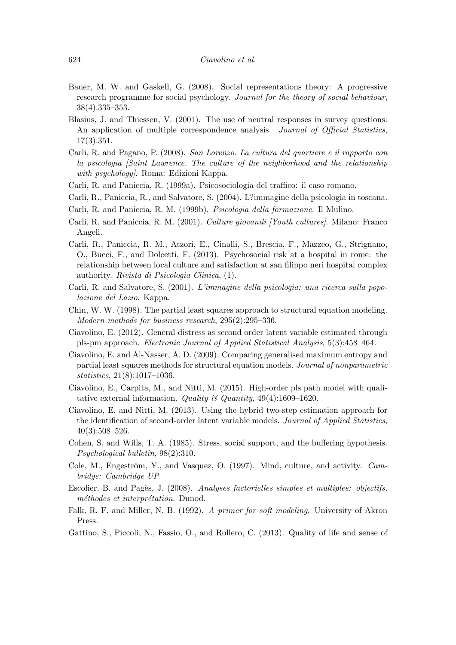- Bauer, M. W. and Gaskell, G. (2008). Social representations theory: A progressive research programme for social psychology. Journal for the theory of social behaviour,  $38(4):335-353.$
- Blasius, J. and Thiessen, V. (2001). The use of neutral responses in survey questions: An application of multiple correspondence analysis. Journal of Official Statistics,  $17(3):351.$
- Carli, R. and Pagano, P. (2008). San Lorenzo. La cultura del quartiere e il rapporto con la psicologia (Saint Lawrence. The culture of the neighborhood and the relationship with psychology. Roma: Edizioni Kappa.
- Carli, R. and Paniccia, R. (1999a). Psicosociologia del traffico: il caso romano.
- Carli, R., Paniccia, R., and Salvatore, S. (2004). L?immagine della psicologia in toscana.
- Carli, R. and Paniccia, R. M. (1999b). Psicologia della formazione. Il Mulino.
- Carli, R. and Paniccia, R. M. (2001). Culture giovanili [Youth cultures]. Milano: Franco Angeli.
- Carli, R., Paniccia, R. M., Atzori, E., Cinalli, S., Brescia, F., Mazzeo, G., Strignano, O., Bucci, F., and Dolcetti, F. (2013). Psychosocial risk at a hospital in rome: the relationship between local culture and satisfaction at san filippo neri hospital complex authority. Rivista di Psicologia Clinica, (1).
- Carli, R. and Salvatore, S. (2001). L'immagine della psicologia: una ricerca sulla popolazione del Lazio. Kappa.
- Chin, W. W. (1998). The partial least squares approach to structural equation modeling. Modern methods for business research, 295(2):295–336.
- Ciavolino, E. (2012). General distress as second order latent variable estimated through pls-pm approach. *Electronic Journal of Applied Statistical Analysis*, 5(3):458–464.
- Ciavolino, E. and Al-Nasser, A. D. (2009). Comparing generalised maximum entropy and partial least squares methods for structural equation models. Journal of nonparametric  $statistics, 21(8):1017-1036.$
- Ciavolino, E., Carpita, M., and Nitti, M. (2015). High-order pls path model with qualitative external information. Quality  $\mathcal C$  Quantity, 49(4):1609-1620.
- Ciavolino, E. and Nitti, M. (2013). Using the hybrid two-step estimation approach for the identification of second-order latent variable models. Journal of Applied Statistics,  $40(3):508-526.$
- Cohen, S. and Wills, T. A. (1985). Stress, social support, and the buffering hypothesis.  $Psychological \: bullet in, 98(2):310.$
- Cole, M., Engeström, Y., and Vasquez, O. (1997). Mind, culture, and activity. Cambridge: Cambridge UP.
- Escofier, B. and Pages, J. (2008). Analyses factorielles simples et multiples: objectifs, méthodes et interprétation. Dunod.
- Falk, R. F. and Miller, N. B. (1992). A primer for soft modeling. University of Akron Press.
- Gattino, S., Piccoli, N., Fassio, O., and Rollero, C. (2013). Quality of life and sense of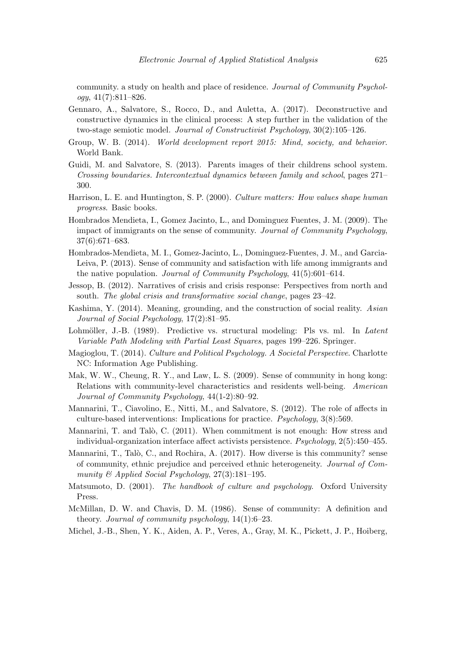community. a study on health and place of residence. Journal of Community Psychol*oqy*,  $41(7):811-826$ .

- Gennaro, A., Salvatore, S., Rocco, D., and Auletta, A. (2017). Deconstructive and constructive dynamics in the clinical process: A step further in the validation of the two-stage semiotic model. Journal of Constructivist Psychology,  $30(2):105-126$ .
- Group, W. B. (2014). World development report 2015: Mind. society, and behavior. World Bank.
- Guidi, M. and Salvatore, S. (2013). Parents images of their childrens school system. Crossing boundaries. Intercontextual dynamics between family and school, pages 271– 300.
- Harrison, L. E. and Huntington, S. P. (2000). Culture matters: How values shape human *progress.* Basic books.
- Hombrados Mendieta, I., Gomez Jacinto, L., and Dominguez Fuentes, J. M. (2009). The impact of immigrants on the sense of community. Journal of Community Psychology,  $37(6):671-683.$
- Hombrados-Mendieta, M. I., Gomez-Jacinto, L., Dominguez-Fuentes, J. M., and Garcia-Leiva, P. (2013). Sense of community and satisfaction with life among immigrants and the native population. Journal of Community Psychology,  $41(5):601-614$ .
- Jessop, B. (2012). Narratives of crisis and crisis response: Perspectives from north and south. The global crisis and transformative social change, pages 23–42.
- Kashima, Y. (2014). Meaning, grounding, and the construction of social reality. Asian Journal of Social Psychology, 17(2):81-95.
- Lohmöller, J.-B. (1989). Predictive vs. structural modeling: Pls vs. ml. In Latent Variable Path Modeling with Partial Least Squares, pages 199–226. Springer.
- Magioglou, T. (2014). Culture and Political Psychology. A Societal Perspective. Charlotte NC: Information Age Publishing.
- Mak, W. W., Cheung, R. Y., and Law, L. S. (2009). Sense of community in hong kong: Relations with community-level characteristics and residents well-being. American Journal of Community Psychology, 44(1-2):80-92.
- Mannarini, T., Ciavolino, E., Nitti, M., and Salvatore, S. (2012). The role of affects in culture-based interventions: Implications for practice. *Psychology*,  $3(8):569$ .
- Mannarini, T. and Talò, C. (2011). When commitment is not enough: How stress and individual-organization interface affect activists persistence.  $Psychology$ ,  $2(5):450-455$ .
- Mannarini, T., Talò, C., and Rochira, A. (2017). How diverse is this community? sense of community, ethnic prejudice and perceived ethnic heterogeneity. Journal of Community  $\mathcal{B}$  Applied Social Psychology, 27(3):181-195.
- Matsumoto, D. (2001). The handbook of culture and psychology. Oxford University Press.
- McMillan, D. W. and Chavis, D. M. (1986). Sense of community: A definition and theory. Journal of community psychology,  $14(1):6-23$ .
- Michel, J.-B., Shen, Y. K., Aiden, A. P., Veres, A., Gray, M. K., Pickett, J. P., Hoiberg,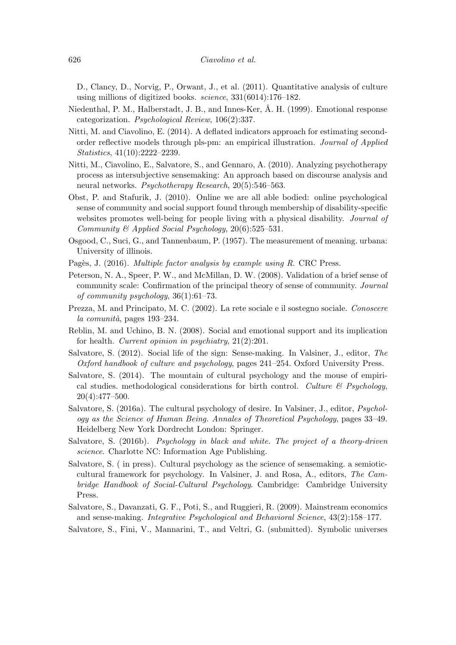D., Clancy, D., Norvig, P., Orwant, J., et al. (2011). Quantitative analysis of culture using millions of digitized books.  $science, 331(6014):176-182.$ 

- Niedenthal, P. M., Halberstadt, J. B., and Innes-Ker, Å. H. (1999). Emotional response categorization. *Psychological Review*,  $106(2):337$ .
- Nitti, M. and Ciavolino, E. (2014). A deflated indicators approach for estimating secondorder reflective models through pls-pm: an empirical illustration. *Journal of Applied Statistics*,  $41(10):2222-2239$ .
- Nitti, M., Ciavolino, E., Salvatore, S., and Gennaro, A. (2010). Analyzing psychotherapy process as intersubjective sensemaking: An approach based on discourse analysis and neural networks. Psychotherapy Research,  $20(5):546-563$ .
- Obst, P. and Stafurik, J. (2010). Online we are all able bodied: online psychological sense of community and social support found through membership of disability-specific websites promotes well-being for people living with a physical disability. *Journal of* Community & Applied Social Psychology,  $20(6)$ :525-531.
- Osgood, C., Suci, G., and Tannenbaum, P. (1957). The measurement of meaning, urbana: University of illinois.
- Pagès, J. (2016). Multiple factor analysis by example using R. CRC Press.
- Peterson, N. A., Speer, P. W., and McMillan, D. W. (2008). Validation of a brief sense of community scale: Confirmation of the principal theory of sense of community. Journal of community psychology,  $36(1):61-73$ .
- Prezza, M. and Principato, M. C. (2002). La rete sociale e il sostegno sociale. Conoscere  $la$  comunità, pages 193–234.
- Reblin, M. and Uchino, B. N. (2008). Social and emotional support and its implication for health. Current opinion in psychiatry,  $21(2):201$ .
- Salvatore, S. (2012). Social life of the sign: Sense-making. In Valsiner, J., editor, The Oxford handbook of culture and psychology, pages 241-254. Oxford University Press.
- Salvatore, S. (2014). The mountain of cultural psychology and the mouse of empirical studies. methodological considerations for birth control. Culture  $\mathcal C$  Psychology,  $20(4):477-500.$
- Salvatore, S. (2016a). The cultural psychology of desire. In Valsiner, J., editor, *Psychol*ogy as the Science of Human Being. Annales of Theoretical Psychology, pages 33–49. Heidelberg New York Dordrecht London: Springer.
- Salvatore, S. (2016b). *Psychology in black and white. The project of a theory-driven science*. Charlotte NC: Information Age Publishing.
- Salvatore, S. (in press). Cultural psychology as the science of sensemaking. a semioticcultural framework for psychology. In Valsiner, J. and Rosa, A., editors, The Cambridge Handbook of Social-Cultural Psychology. Cambridge: Cambridge University Press.
- Salvatore, S., Davanzati, G. F., Poti, S., and Ruggieri, R. (2009). Mainstream economics and sense-making. Integrative Psychological and Behavioral Science, 43(2):158–177.
- Salvatore, S., Fini, V., Mannarini, T., and Veltri, G. (submitted). Symbolic universes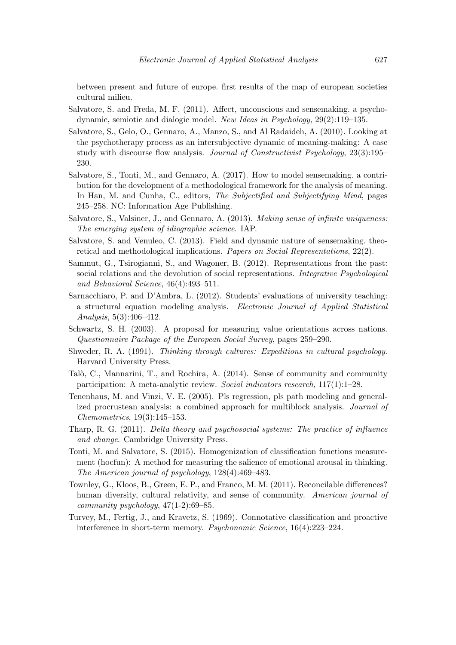between present and future of europe. first results of the map of european societies cultural milieu.

- Salvatore, S. and Freda, M. F. (2011). Affect, unconscious and sensemaking. a psychodynamic, semiotic and dialogic model. New Ideas in Psychology,  $29(2):119-135$ .
- Salvatore, S., Gelo, O., Gennaro, A., Manzo, S., and Al Radaideh, A. (2010). Looking at the psychotherapy process as an intersubjective dynamic of meaning-making: A case study with discourse flow analysis. Journal of Constructivist Psychology, 23(3):195– 230.
- Salvatore, S., Tonti, M., and Gennaro, A. (2017). How to model sensemaking. a contribution for the development of a methodological framework for the analysis of meaning. In Han, M. and Cunha, C., editors, The Subjectified and Subjectifying Mind, pages 245–258. NC: Information Age Publishing.
- Salvatore, S., Valsiner, J., and Gennaro, A. (2013). Making sense of infinite uniqueness: The emerging system of idiographic science. IAP.
- Salvatore, S. and Venuleo, C. (2013). Field and dynamic nature of sensemaking, theoretical and methodological implications. Papers on Social Representations,  $22(2)$ .
- Sammut, G., Tsirogianni, S., and Wagoner, B. (2012). Representations from the past: social relations and the devolution of social representations. Integrative Psychological and Behavioral Science,  $46(4):493-511$ .
- Sarnacchiaro, P. and D'Ambra, L. (2012). Students' evaluations of university teaching: a structural equation modeling analysis. Electronic Journal of Applied Statistical Analysis,  $5(3):406-412$ .
- Schwartz, S. H. (2003). A proposal for measuring value orientations across nations. Questionnaire Package of the European Social Survey, pages 259–290.
- Shweder, R. A. (1991). Thinking through cultures: Expeditions in cultural psychology. Harvard University Press.
- Talò, C., Mannarini, T., and Rochira, A. (2014). Sense of community and community participation: A meta-analytic review. Social indicators research,  $117(1)$ :1-28.
- Tenenhaus, M. and Vinzi, V. E. (2005). Pls regression, pls path modeling and generalized procrustean analysis: a combined approach for multiblock analysis. *Journal of Chemometrics*,  $19(3):145-153$ .
- Tharp, R. G.  $(2011)$ . Delta theory and psychosocial systems: The practice of influence and change. Cambridge University Press.
- Tonti, M. and Salvatore, S. (2015). Homogenization of classification functions measurement (hocfun): A method for measuring the salience of emotional arousal in thinking. The American journal of psychology, 128(4):469-483.
- Townley, G., Kloos, B., Green, E. P., and Franco, M. M. (2011). Reconcilable differences? human diversity, cultural relativity, and sense of community. American journal of community psychology,  $47(1-2):69-85$ .
- Turvey, M., Fertig, J., and Kravetz, S. (1969). Connotative classification and proactive interference in short-term memory. *Psychonomic Science*, 16(4):223–224.